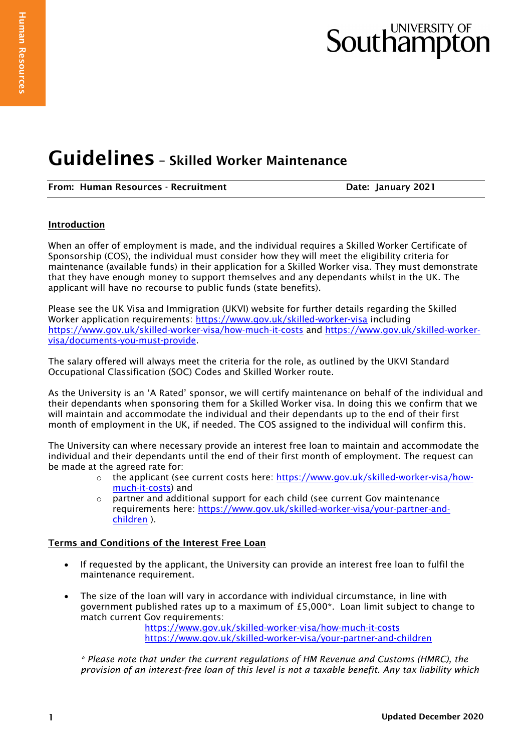# Southampton

# Guidelines – Skilled Worker Maintenance

| From: Human Resources - Recruitment |  |
|-------------------------------------|--|
|-------------------------------------|--|

Date: January 2021

## Introduction

When an offer of employment is made, and the individual requires a Skilled Worker Certificate of Sponsorship (COS), the individual must consider how they will meet the eligibility criteria for maintenance (available funds) in their application for a Skilled Worker visa. They must demonstrate that they have enough money to support themselves and any dependants whilst in the UK. The applicant will have no recourse to public funds (state benefits).

Please see the UK Visa and Immigration (UKVI) website for further details regarding the Skilled Worker application requirements: <https://www.gov.uk/skilled-worker-visa> including <https://www.gov.uk/skilled-worker-visa/how-much-it-costs> and [https://www.gov.uk/skilled-worker](https://www.gov.uk/skilled-worker-visa/documents-you-must-provide)[visa/documents-you-must-provide.](https://www.gov.uk/skilled-worker-visa/documents-you-must-provide)

The salary offered will always meet the criteria for the role, as outlined by the UKVI Standard Occupational Classification (SOC) Codes and Skilled Worker route.

As the University is an 'A Rated' sponsor, we will certify maintenance on behalf of the individual and their dependants when sponsoring them for a Skilled Worker visa. In doing this we confirm that we will maintain and accommodate the individual and their dependants up to the end of their first month of employment in the UK, if needed. The COS assigned to the individual will confirm this.

The University can where necessary provide an interest free loan to maintain and accommodate the individual and their dependants until the end of their first month of employment. The request can be made at the agreed rate for:

- o the applicant (see current costs here: [https://www.gov.uk/skilled-worker-visa/how](https://www.gov.uk/skilled-worker-visa/how-much-it-costs)[much-it-costs\)](https://www.gov.uk/skilled-worker-visa/how-much-it-costs) and
- $\circ$  partner and additional support for each child (see current Gov maintenance requirements here: [https://www.gov.uk/skilled-worker-visa/your-partner-and](https://www.gov.uk/skilled-worker-visa/your-partner-and-children)[children](https://www.gov.uk/skilled-worker-visa/your-partner-and-children) ).

### Terms and Conditions of the Interest Free Loan

- If requested by the applicant, the University can provide an interest free loan to fulfil the maintenance requirement.
- The size of the loan will vary in accordance with individual circumstance, in line with government published rates up to a maximum of £5,000\*. Loan limit subject to change to match current Gov requirements:

<https://www.gov.uk/skilled-worker-visa/how-much-it-costs> <https://www.gov.uk/skilled-worker-visa/your-partner-and-children>

*\* Please note that under the current regulations of HM Revenue and Customs (HMRC), the provision of an interest-free loan of this level is not a taxable benefit. Any tax liability which*